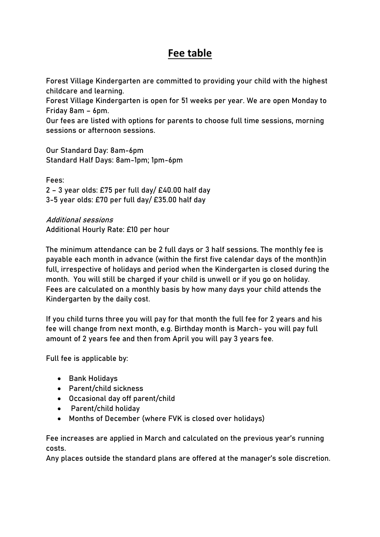## **Fee table**

Forest Village Kindergarten are committed to providing your child with the highest childcare and learning.

Forest Village Kindergarten is open for 51 weeks per year. We are open Monday to Friday 8am – 6pm.

Our fees are listed with options for parents to choose full time sessions, morning sessions or afternoon sessions.

Our Standard Day: 8am-6pm Standard Half Days: 8am-1pm; 1pm-6pm

Fees: 2 – 3 year olds: £75 per full day/ £40.00 half day 3-5 year olds: £70 per full day/ £35.00 half day

Additional sessions Additional Hourly Rate: £10 per hour

The minimum attendance can be 2 full days or 3 half sessions. The monthly fee is payable each month in advance (within the first five calendar days of the month)in full, irrespective of holidays and period when the Kindergarten is closed during the month. You will still be charged if your child is unwell or if you go on holiday. Fees are calculated on a monthly basis by how many days your child attends the Kindergarten by the daily cost.

If you child turns three you will pay for that month the full fee for 2 years and his fee will change from next month, e.g. Birthday month is March- you will pay full amount of 2 years fee and then from April you will pay 3 years fee.

Full fee is applicable by:

- Bank Holidays
- Parent/child sickness
- Occasional day off parent/child
- Parent/child holiday
- Months of December (where FVK is closed over holidays)

Fee increases are applied in March and calculated on the previous year's running costs.

Any places outside the standard plans are offered at the manager's sole discretion.